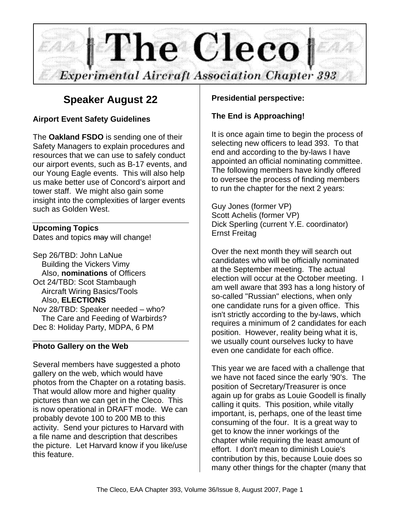

## **Speaker August 22**

## **Airport Event Safety Guidelines**

The **Oakland FSDO** is sending one of their Safety Managers to explain procedures and resources that we can use to safely conduct our airport events, such as B-17 events, and our Young Eagle events. This will also help us make better use of Concord's airport and tower staff. We might also gain some insight into the complexities of larger events such as Golden West.

## **Upcoming Topics**

Dates and topics may will change!

Sep 26/TBD: John LaNue Building the Vickers Vimy Also, **nominations** of Officers Oct 24/TBD: Scot Stambaugh Aircraft Wiring Basics/Tools Also, **ELECTIONS** Nov 28/TBD: Speaker needed – who? The Care and Feeding of Warbirds? Dec 8: Holiday Party, MDPA, 6 PM

## **Photo Gallery on the Web**

Several members have suggested a photo gallery on the web, which would have photos from the Chapter on a rotating basis. That would allow more and higher quality pictures than we can get in the Cleco. This is now operational in DRAFT mode. We can probably devote 100 to 200 MB to this activity. Send your pictures to Harvard with a file name and description that describes the picture. Let Harvard know if you like/use this feature.

## **Presidential perspective:**

## **The End is Approaching!**

It is once again time to begin the process of selecting new officers to lead 393. To that end and according to the by-laws I have appointed an official nominating committee. The following members have kindly offered to oversee the process of finding members to run the chapter for the next 2 years:

Guy Jones (former VP) Scott Achelis (former VP) Dick Sperling (current Y.E. coordinator) Ernst Freitag

Over the next month they will search out candidates who will be officially nominated at the September meeting. The actual election will occur at the October meeting. I am well aware that 393 has a long history of so-called "Russian" elections, when only one candidate runs for a given office. This isn't strictly according to the by-laws, which requires a minimum of 2 candidates for each position. However, reality being what it is, we usually count ourselves lucky to have even one candidate for each office.

This year we are faced with a challenge that we have not faced since the early '90's. The position of Secretary/Treasurer is once again up for grabs as Louie Goodell is finally calling it quits. This position, while vitally important, is, perhaps, one of the least time consuming of the four. It is a great way to get to know the inner workings of the chapter while requiring the least amount of effort. I don't mean to diminish Louie's contribution by this, because Louie does so many other things for the chapter (many that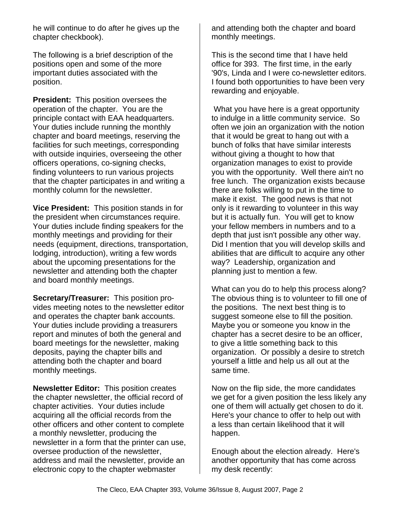he will continue to do after he gives up the chapter checkbook).

The following is a brief description of the positions open and some of the more important duties associated with the position.

**President:** This position oversees the operation of the chapter. You are the principle contact with EAA headquarters. Your duties include running the monthly chapter and board meetings, reserving the facilities for such meetings, corresponding with outside inquiries, overseeing the other officers operations, co-signing checks, finding volunteers to run various projects that the chapter participates in and writing a monthly column for the newsletter.

**Vice President:** This position stands in for the president when circumstances require. Your duties include finding speakers for the monthly meetings and providing for their needs (equipment, directions, transportation, lodging, introduction), writing a few words about the upcoming presentations for the newsletter and attending both the chapter and board monthly meetings.

**Secretary/Treasurer:** This position provides meeting notes to the newsletter editor and operates the chapter bank accounts. Your duties include providing a treasurers report and minutes of both the general and board meetings for the newsletter, making deposits, paying the chapter bills and attending both the chapter and board monthly meetings.

**Newsletter Editor:** This position creates the chapter newsletter, the official record of chapter activities. Your duties include acquiring all the official records from the other officers and other content to complete a monthly newsletter, producing the newsletter in a form that the printer can use, oversee production of the newsletter, address and mail the newsletter, provide an electronic copy to the chapter webmaster

and attending both the chapter and board monthly meetings.

This is the second time that I have held office for 393. The first time, in the early '90's, Linda and I were co-newsletter editors. I found both opportunities to have been very rewarding and enjoyable.

 What you have here is a great opportunity to indulge in a little community service. So often we join an organization with the notion that it would be great to hang out with a bunch of folks that have similar interests without giving a thought to how that organization manages to exist to provide you with the opportunity. Well there ain't no free lunch. The organization exists because there are folks willing to put in the time to make it exist. The good news is that not only is it rewarding to volunteer in this way but it is actually fun. You will get to know your fellow members in numbers and to a depth that just isn't possible any other way. Did I mention that you will develop skills and abilities that are difficult to acquire any other way? Leadership, organization and planning just to mention a few.

What can you do to help this process along? The obvious thing is to volunteer to fill one of the positions. The next best thing is to suggest someone else to fill the position. Maybe you or someone you know in the chapter has a secret desire to be an officer, to give a little something back to this organization. Or possibly a desire to stretch yourself a little and help us all out at the same time.

Now on the flip side, the more candidates we get for a given position the less likely any one of them will actually get chosen to do it. Here's your chance to offer to help out with a less than certain likelihood that it will happen.

Enough about the election already. Here's another opportunity that has come across my desk recently: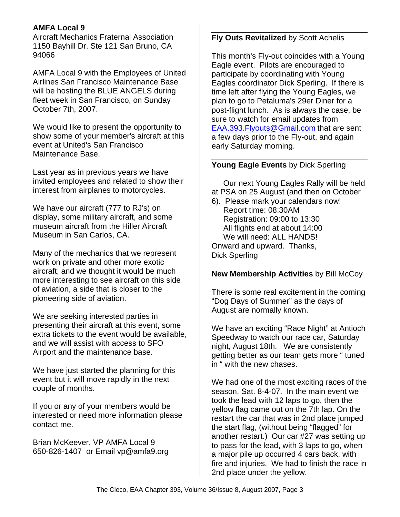### **AMFA Local 9**

Aircraft Mechanics Fraternal Association 1150 Bayhill Dr. Ste 121 San Bruno, CA 94066

AMFA Local 9 with the Employees of United Airlines San Francisco Maintenance Base will be hosting the BLUE ANGELS during fleet week in San Francisco, on Sunday October 7th, 2007.

We would like to present the opportunity to show some of your member's aircraft at this event at United's San Francisco Maintenance Base.

Last year as in previous years we have invited employees and related to show their interest from airplanes to motorcycles.

We have our aircraft (777 to RJ's) on display, some military aircraft, and some museum aircraft from the Hiller Aircraft Museum in San Carlos, CA.

Many of the mechanics that we represent work on private and other more exotic aircraft; and we thought it would be much more interesting to see aircraft on this side of aviation, a side that is closer to the pioneering side of aviation.

We are seeking interested parties in presenting their aircraft at this event, some extra tickets to the event would be available, and we will assist with access to SFO Airport and the maintenance base.

We have just started the planning for this event but it will move rapidly in the next couple of months.

If you or any of your members would be interested or need more information please contact me.

Brian McKeever, VP AMFA Local 9 650-826-1407 or Email vp@amfa9.org

#### **Fly Outs Revitalized** by Scott Achelis

This month's Fly-out coincides with a Young Eagle event. Pilots are encouraged to participate by coordinating with Young Eagles coordinator Dick Sperling. If there is time left after flying the Young Eagles, we plan to go to Petaluma's 29er Diner for a post-flight lunch. As is always the case, be sure to watch for email updates from EAA.393.Flyouts@Gmail.com that are sent a few days prior to the Fly-out, and again early Saturday morning.

#### **Young Eagle Events** by Dick Sperling

Our next Young Eagles Rally will be held at PSA on 25 August (and then on October

6). Please mark your calendars now! Report time: 08:30AM Registration: 09:00 to 13:30 All flights end at about 14:00 We will need: ALL HANDS! Onward and upward. Thanks, Dick Sperling

#### **New Membership Activities** by Bill McCoy

There is some real excitement in the coming "Dog Days of Summer" as the days of August are normally known.

We have an exciting "Race Night" at Antioch Speedway to watch our race car, Saturday night, August 18th. We are consistently getting better as our team gets more " tuned in " with the new chases.

We had one of the most exciting races of the season, Sat. 8-4-07. In the main event we took the lead with 12 laps to go, then the yellow flag came out on the 7th lap. On the restart the car that was in 2nd place jumped the start flag, (without being "flagged" for another restart.) Our car #27 was setting up to pass for the lead, with 3 laps to go, when a major pile up occurred 4 cars back, with fire and injuries. We had to finish the race in 2nd place under the yellow.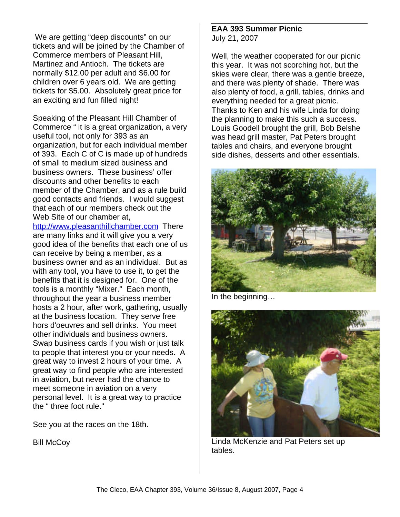We are getting "deep discounts" on our tickets and will be joined by the Chamber of Commerce members of Pleasant Hill, Martinez and Antioch. The tickets are normally \$12.00 per adult and \$6.00 for children over 6 years old. We are getting tickets for \$5.00. Absolutely great price for an exciting and fun filled night!

Speaking of the Pleasant Hill Chamber of Commerce " it is a great organization, a very useful tool, not only for 393 as an organization, but for each individual member of 393. Each C of C is made up of hundreds of small to medium sized business and business owners. These business' offer discounts and other benefits to each member of the Chamber, and as a rule build good contacts and friends. I would suggest that each of our members check out the Web Site of our chamber at,

http://www.pleasanthillchamber.com There are many links and it will give you a very good idea of the benefits that each one of us can receive by being a member, as a business owner and as an individual. But as with any tool, you have to use it, to get the benefits that it is designed for. One of the tools is a monthly "Mixer." Each month, throughout the year a business member hosts a 2 hour, after work, gathering, usually at the business location. They serve free hors d'oeuvres and sell drinks. You meet other individuals and business owners. Swap business cards if you wish or just talk to people that interest you or your needs. A great way to invest 2 hours of your time. A great way to find people who are interested in aviation, but never had the chance to meet someone in aviation on a very personal level. It is a great way to practice the " three foot rule."

See you at the races on the 18th.

**Bill McCoy** 

#### **EAA 393 Summer Picnic** July 21, 2007

Well, the weather cooperated for our picnic this year. It was not scorching hot, but the skies were clear, there was a gentle breeze, and there was plenty of shade. There was also plenty of food, a grill, tables, drinks and everything needed for a great picnic. Thanks to Ken and his wife Linda for doing the planning to make this such a success. Louis Goodell brought the grill, Bob Belshe was head grill master, Pat Peters brought tables and chairs, and everyone brought side dishes, desserts and other essentials.



In the beginning…



Linda McKenzie and Pat Peters set up tables.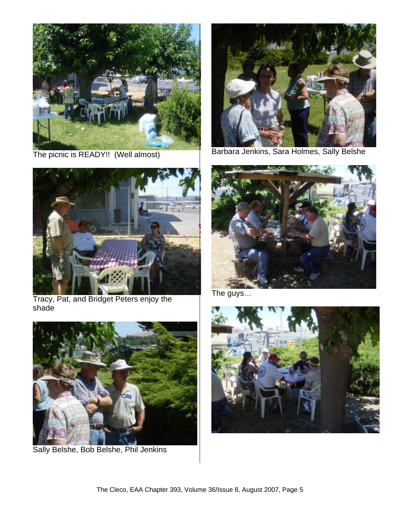

The picnic is READY!! (Well almost)



Tracy, Pat, and Bridget Peters enjoy the shade



Sally Belshe, Bob Belshe, Phil Jenkins



Barbara Jenkins, Sara Holmes, Sally Belshe



The guys…

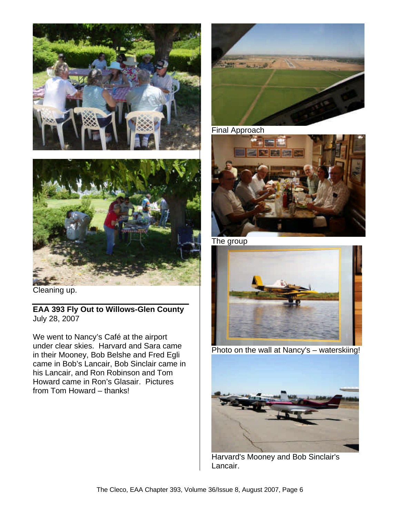



Cleaning up.

**EAA 393 Fly Out to Willows-Glen County** July 28, 2007

We went to Nancy's Café at the airport under clear skies. Harvard and Sara came in their Mooney, Bob Belshe and Fred Egli came in Bob's Lancair, Bob Sinclair came in his Lancair, and Ron Robinson and Tom Howard came in Ron's Glasair. Pictures from Tom Howard – thanks!



Final Approach



The group



Photo on the wall at Nancy's – waterskiing!



Harvard's Mooney and Bob Sinclair's Lancair.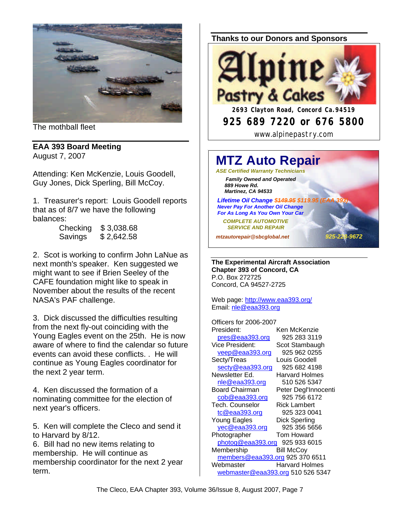

The mothball fleet

#### **EAA 393 Board Meeting** August 7, 2007

Attending: Ken McKenzie, Louis Goodell, Guy Jones, Dick Sperling, Bill McCoy.

1. Treasurer's report: Louis Goodell reports that as of 8/7 we have the following balances:

| Checking | \$3,038.68 |
|----------|------------|
| Savings  | \$2,642.58 |

2. Scot is working to confirm John LaNue as next month's speaker. Ken suggested we might want to see if Brien Seeley of the CAFE foundation might like to speak in November about the results of the recent NASA's PAF challenge.

3. Dick discussed the difficulties resulting from the next fly-out coinciding with the Young Eagles event on the 25th. He is now aware of where to find the calendar so future events can avoid these conflicts. . He will continue as Young Eagles coordinator for the next 2 year term.

4. Ken discussed the formation of a nominating committee for the election of next year's officers.

5. Ken will complete the Cleco and send it to Harvard by 8/12.

6. Bill had no new items relating to membership. He will continue as membership coordinator for the next 2 year term.

#### **Thanks to our Donors and Sponsors**



**925 689 7220 or 676 5800**

www.alpinepastry.com

# **MTZ Auto Repair**

*ASE Certified Warranty Technicians Family Owned and Operated 889 Howe Rd. Martinez, CA 94533*

**Lifetime Oil Change \$449.95 \$119.95 (E**  *Never Pay For Another Oil Change For As Long As You Own Your Car*

 *COMPLETE AUTOMOTIVE SERVICE AND REPAIR*

*mtzautorepair@sbcglobal.net 925-228-9672*

**The Experimental Aircraft Association Chapter 393 of Concord, CA** P.O. Box 272725 Concord, CA 94527-2725

Web page: http://www.eaa393.org/ Email: nle@eaa393.org

Officers for 2006-2007 President: Ken McKenzie pres@eaa393.org 925 283 3119 Vice President: Scot Stambaugh veep@eaa393.org 925 962 0255 Secty/Treas Louis Goodell secty@eaa393.org 925 682 4198 Newsletter Ed. Harvard Holmes nle@eaa393.org 510 526 5347 Board Chairman Peter Degl'Innocenti cob@eaa393.org 925 756 6172 Tech. Counselor Rick Lambert tc@eaa393.org 925 323 0041 Young Eagles Dick Sperling yec@eaa393.org 925 356 5656 Photographer Tom Howard photog@eaa393.org 925 933 6015 Membership Bill McCov members@eaa393.org 925 370 6511 Webmaster **Harvard Holmes** webmaster@eaa393.org 510 526 5347